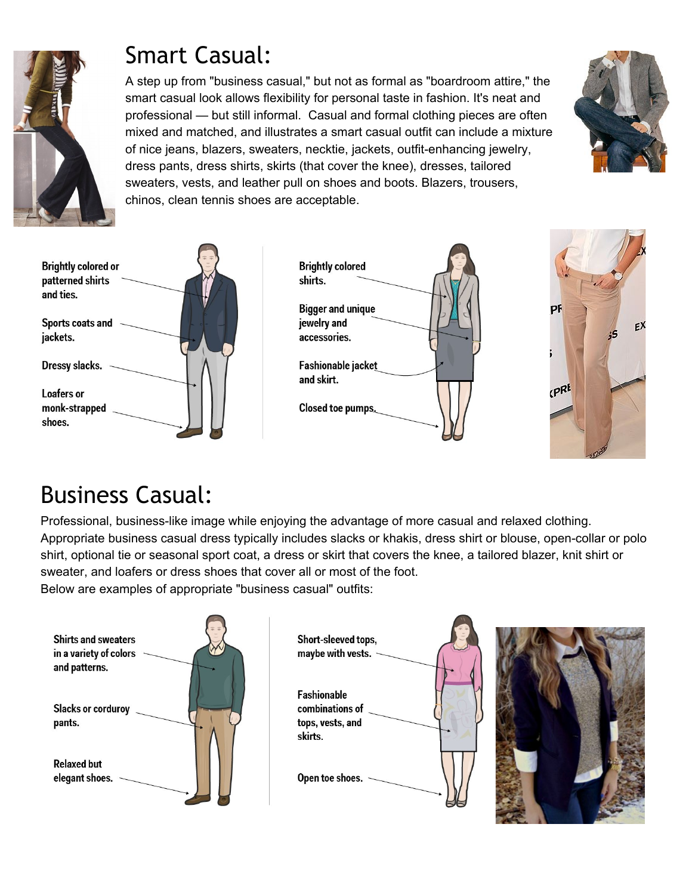

## Smart Casual:

A step up from "business casual," but not as formal as "boardroom attire," the smart casual look allows flexibility for personal taste in fashion. It's neat and professional — but still informal. Casual and formal clothing pieces are often mixed and matched, and illustrates a smart casual outfit can include a mixture of nice jeans, blazers, sweaters, necktie, jackets, outfit-enhancing jewelry, dress pants, dress shirts, skirts (that cover the knee), dresses, tailored sweaters, vests, and leather pull on shoes and boots. Blazers, trousers, chinos, clean tennis shoes are acceptable.









## Business Casual:

Professional, business-like image while enjoying the advantage of more casual and relaxed clothing. Appropriate business casual dress typically includes slacks or khakis, dress shirt or blouse, open-collar or polo shirt, optional tie or seasonal sport coat, a dress or skirt that covers the knee, a tailored blazer, knit shirt or sweater, and loafers or dress shoes that cover all or most of the foot. Below are examples of appropriate "business casual" outfits: